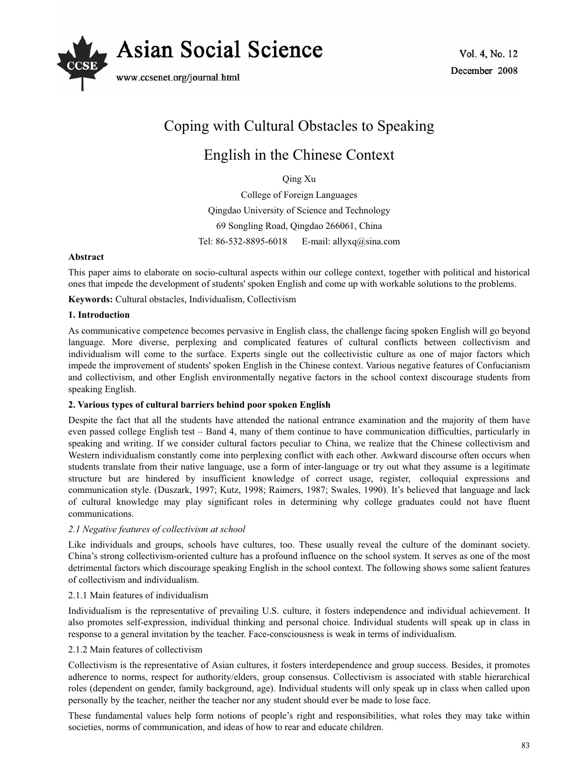

# Coping with Cultural Obstacles to Speaking

# English in the Chinese Context

Qing Xu

College of Foreign Languages Qingdao University of Science and Technology 69 Songling Road, Qingdao 266061, China Tel: 86-532-8895-6018 E-mail: allyxq@sina.com

# **Abstract**

This paper aims to elaborate on socio-cultural aspects within our college context, together with political and historical ones that impede the development of students' spoken English and come up with workable solutions to the problems.

**Keywords:** Cultural obstacles, Individualism, Collectivism

# **1. Introduction**

As communicative competence becomes pervasive in English class, the challenge facing spoken English will go beyond language. More diverse, perplexing and complicated features of cultural conflicts between collectivism and individualism will come to the surface. Experts single out the collectivistic culture as one of major factors which impede the improvement of students' spoken English in the Chinese context. Various negative features of Confucianism and collectivism, and other English environmentally negative factors in the school context discourage students from speaking English.

# **2. Various types of cultural barriers behind poor spoken English**

Despite the fact that all the students have attended the national entrance examination and the majority of them have even passed college English test – Band 4, many of them continue to have communication difficulties, particularly in speaking and writing. If we consider cultural factors peculiar to China, we realize that the Chinese collectivism and Western individualism constantly come into perplexing conflict with each other. Awkward discourse often occurs when students translate from their native language, use a form of inter-language or try out what they assume is a legitimate structure but are hindered by insufficient knowledge of correct usage, register, colloquial expressions and communication style. (Duszark, 1997; Kutz, 1998; Raimers, 1987; Swales, 1990). It's believed that language and lack of cultural knowledge may play significant roles in determining why college graduates could not have fluent communications.

#### *2.1 Negative features of collectivism at school*

Like individuals and groups, schools have cultures, too. These usually reveal the culture of the dominant society. China's strong collectivism-oriented culture has a profound influence on the school system. It serves as one of the most detrimental factors which discourage speaking English in the school context. The following shows some salient features of collectivism and individualism.

# 2.1.1 Main features of individualism

Individualism is the representative of prevailing U.S. culture, it fosters independence and individual achievement. It also promotes self-expression, individual thinking and personal choice. Individual students will speak up in class in response to a general invitation by the teacher. Face-consciousness is weak in terms of individualism.

# 2.1.2 Main features of collectivism

Collectivism is the representative of Asian cultures, it fosters interdependence and group success. Besides, it promotes adherence to norms, respect for authority/elders, group consensus. Collectivism is associated with stable hierarchical roles (dependent on gender, family background, age). Individual students will only speak up in class when called upon personally by the teacher, neither the teacher nor any student should ever be made to lose face.

These fundamental values help form notions of people's right and responsibilities, what roles they may take within societies, norms of communication, and ideas of how to rear and educate children.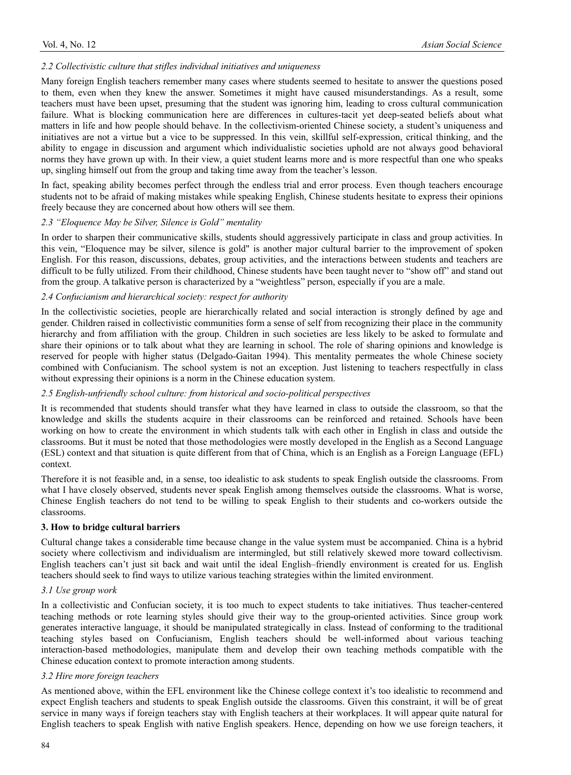# *2.2 Collectivistic culture that stifles individual initiatives and uniqueness*

Many foreign English teachers remember many cases where students seemed to hesitate to answer the questions posed to them, even when they knew the answer. Sometimes it might have caused misunderstandings. As a result, some teachers must have been upset, presuming that the student was ignoring him, leading to cross cultural communication failure. What is blocking communication here are differences in cultures-tacit yet deep-seated beliefs about what matters in life and how people should behave. In the collectivism-oriented Chinese society, a student's uniqueness and initiatives are not a virtue but a vice to be suppressed. In this vein, skillful self-expression, critical thinking, and the ability to engage in discussion and argument which individualistic societies uphold are not always good behavioral norms they have grown up with. In their view, a quiet student learns more and is more respectful than one who speaks up, singling himself out from the group and taking time away from the teacher's lesson.

In fact, speaking ability becomes perfect through the endless trial and error process. Even though teachers encourage students not to be afraid of making mistakes while speaking English, Chinese students hesitate to express their opinions freely because they are concerned about how others will see them.

# *2.3 "Eloquence May be Silver, Silence is Gold" mentality*

In order to sharpen their communicative skills, students should aggressively participate in class and group activities. In this vein, "Eloquence may be silver, silence is gold" is another major cultural barrier to the improvement of spoken English. For this reason, discussions, debates, group activities, and the interactions between students and teachers are difficult to be fully utilized. From their childhood, Chinese students have been taught never to "show off" and stand out from the group. A talkative person is characterized by a "weightless" person, especially if you are a male.

# *2.4 Confucianism and hierarchical society: respect for authority*

In the collectivistic societies, people are hierarchically related and social interaction is strongly defined by age and gender. Children raised in collectivistic communities form a sense of self from recognizing their place in the community hierarchy and from affiliation with the group. Children in such societies are less likely to be asked to formulate and share their opinions or to talk about what they are learning in school. The role of sharing opinions and knowledge is reserved for people with higher status (Delgado-Gaitan 1994). This mentality permeates the whole Chinese society combined with Confucianism. The school system is not an exception. Just listening to teachers respectfully in class without expressing their opinions is a norm in the Chinese education system.

#### *2.5 English-unfriendly school culture: from historical and socio-political perspectives*

It is recommended that students should transfer what they have learned in class to outside the classroom, so that the knowledge and skills the students acquire in their classrooms can be reinforced and retained. Schools have been working on how to create the environment in which students talk with each other in English in class and outside the classrooms. But it must be noted that those methodologies were mostly developed in the English as a Second Language (ESL) context and that situation is quite different from that of China, which is an English as a Foreign Language (EFL) context.

Therefore it is not feasible and, in a sense, too idealistic to ask students to speak English outside the classrooms. From what I have closely observed, students never speak English among themselves outside the classrooms. What is worse, Chinese English teachers do not tend to be willing to speak English to their students and co-workers outside the classrooms.

# **3. How to bridge cultural barriers**

Cultural change takes a considerable time because change in the value system must be accompanied. China is a hybrid society where collectivism and individualism are intermingled, but still relatively skewed more toward collectivism. English teachers can't just sit back and wait until the ideal English–friendly environment is created for us. English teachers should seek to find ways to utilize various teaching strategies within the limited environment.

#### *3.1 Use group work*

In a collectivistic and Confucian society, it is too much to expect students to take initiatives. Thus teacher-centered teaching methods or rote learning styles should give their way to the group-oriented activities. Since group work generates interactive language, it should be manipulated strategically in class. Instead of conforming to the traditional teaching styles based on Confucianism, English teachers should be well-informed about various teaching interaction-based methodologies, manipulate them and develop their own teaching methods compatible with the Chinese education context to promote interaction among students.

#### *3.2 Hire more foreign teachers*

As mentioned above, within the EFL environment like the Chinese college context it's too idealistic to recommend and expect English teachers and students to speak English outside the classrooms. Given this constraint, it will be of great service in many ways if foreign teachers stay with English teachers at their workplaces. It will appear quite natural for English teachers to speak English with native English speakers. Hence, depending on how we use foreign teachers, it